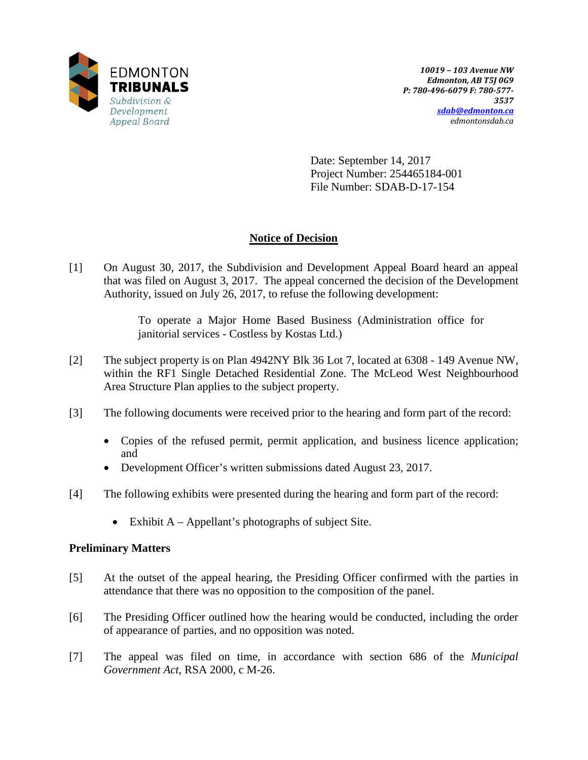

Date: September 14, 2017 Project Number: 254465184-001 File Number: SDAB-D-17-154

# **Notice of Decision**

[1] On August 30, 2017, the Subdivision and Development Appeal Board heard an appeal that was filed on August 3, 2017. The appeal concerned the decision of the Development Authority, issued on July 26, 2017, to refuse the following development:

> To operate a Major Home Based Business (Administration office for janitorial services - Costless by Kostas Ltd.)

- [2] The subject property is on Plan 4942NY Blk 36 Lot 7, located at 6308 149 Avenue NW, within the RF1 Single Detached Residential Zone. The McLeod West Neighbourhood Area Structure Plan applies to the subject property.
- [3] The following documents were received prior to the hearing and form part of the record:
	- Copies of the refused permit, permit application, and business licence application; and
	- Development Officer's written submissions dated August 23, 2017.
- [4] The following exhibits were presented during the hearing and form part of the record:
	- Exhibit A Appellant's photographs of subject Site.

# **Preliminary Matters**

- [5] At the outset of the appeal hearing, the Presiding Officer confirmed with the parties in attendance that there was no opposition to the composition of the panel.
- [6] The Presiding Officer outlined how the hearing would be conducted, including the order of appearance of parties, and no opposition was noted.
- [7] The appeal was filed on time, in accordance with section 686 of the *Municipal Government Act*, RSA 2000, c M-26.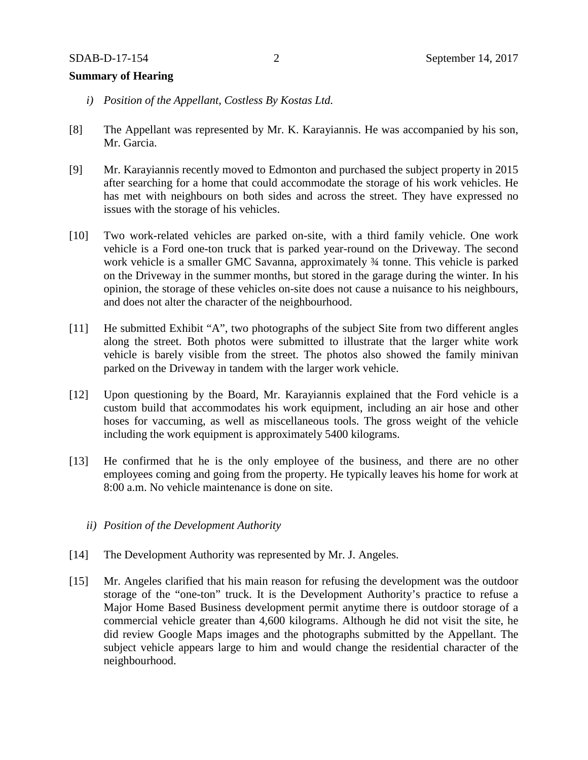#### **Summary of Hearing**

- *i) Position of the Appellant, Costless By Kostas Ltd.*
- [8] The Appellant was represented by Mr. K. Karayiannis. He was accompanied by his son, Mr. Garcia.
- [9] Mr. Karayiannis recently moved to Edmonton and purchased the subject property in 2015 after searching for a home that could accommodate the storage of his work vehicles. He has met with neighbours on both sides and across the street. They have expressed no issues with the storage of his vehicles.
- [10] Two work-related vehicles are parked on-site, with a third family vehicle. One work vehicle is a Ford one-ton truck that is parked year-round on the Driveway. The second work vehicle is a smaller GMC Savanna, approximately ¾ tonne. This vehicle is parked on the Driveway in the summer months, but stored in the garage during the winter. In his opinion, the storage of these vehicles on-site does not cause a nuisance to his neighbours, and does not alter the character of the neighbourhood.
- [11] He submitted Exhibit "A", two photographs of the subject Site from two different angles along the street. Both photos were submitted to illustrate that the larger white work vehicle is barely visible from the street. The photos also showed the family minivan parked on the Driveway in tandem with the larger work vehicle.
- [12] Upon questioning by the Board, Mr. Karayiannis explained that the Ford vehicle is a custom build that accommodates his work equipment, including an air hose and other hoses for vaccuming, as well as miscellaneous tools. The gross weight of the vehicle including the work equipment is approximately 5400 kilograms.
- [13] He confirmed that he is the only employee of the business, and there are no other employees coming and going from the property. He typically leaves his home for work at 8:00 a.m. No vehicle maintenance is done on site.
	- *ii) Position of the Development Authority*
- [14] The Development Authority was represented by Mr. J. Angeles.
- [15] Mr. Angeles clarified that his main reason for refusing the development was the outdoor storage of the "one-ton" truck. It is the Development Authority's practice to refuse a Major Home Based Business development permit anytime there is outdoor storage of a commercial vehicle greater than 4,600 kilograms. Although he did not visit the site, he did review Google Maps images and the photographs submitted by the Appellant. The subject vehicle appears large to him and would change the residential character of the neighbourhood.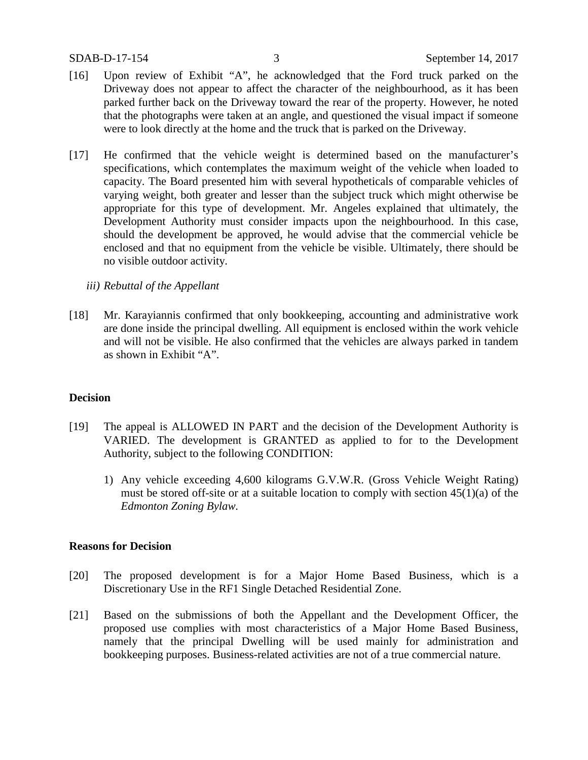- [16] Upon review of Exhibit "A", he acknowledged that the Ford truck parked on the Driveway does not appear to affect the character of the neighbourhood, as it has been parked further back on the Driveway toward the rear of the property. However, he noted that the photographs were taken at an angle, and questioned the visual impact if someone were to look directly at the home and the truck that is parked on the Driveway.
- [17] He confirmed that the vehicle weight is determined based on the manufacturer's specifications, which contemplates the maximum weight of the vehicle when loaded to capacity. The Board presented him with several hypotheticals of comparable vehicles of varying weight, both greater and lesser than the subject truck which might otherwise be appropriate for this type of development. Mr. Angeles explained that ultimately, the Development Authority must consider impacts upon the neighbourhood. In this case, should the development be approved, he would advise that the commercial vehicle be enclosed and that no equipment from the vehicle be visible. Ultimately, there should be no visible outdoor activity.
	- *iii) Rebuttal of the Appellant*
- [18] Mr. Karayiannis confirmed that only bookkeeping, accounting and administrative work are done inside the principal dwelling. All equipment is enclosed within the work vehicle and will not be visible. He also confirmed that the vehicles are always parked in tandem as shown in Exhibit "A".

## **Decision**

- [19] The appeal is ALLOWED IN PART and the decision of the Development Authority is VARIED. The development is GRANTED as applied to for to the Development Authority, subject to the following CONDITION:
	- 1) Any vehicle exceeding 4,600 kilograms G.V.W.R. (Gross Vehicle Weight Rating) must be stored off-site or at a suitable location to comply with section 45(1)(a) of the *Edmonton Zoning Bylaw.*

## **Reasons for Decision**

- [20] The proposed development is for a Major Home Based Business, which is a Discretionary Use in the RF1 Single Detached Residential Zone.
- [21] Based on the submissions of both the Appellant and the Development Officer, the proposed use complies with most characteristics of a Major Home Based Business, namely that the principal Dwelling will be used mainly for administration and bookkeeping purposes. Business-related activities are not of a true commercial nature.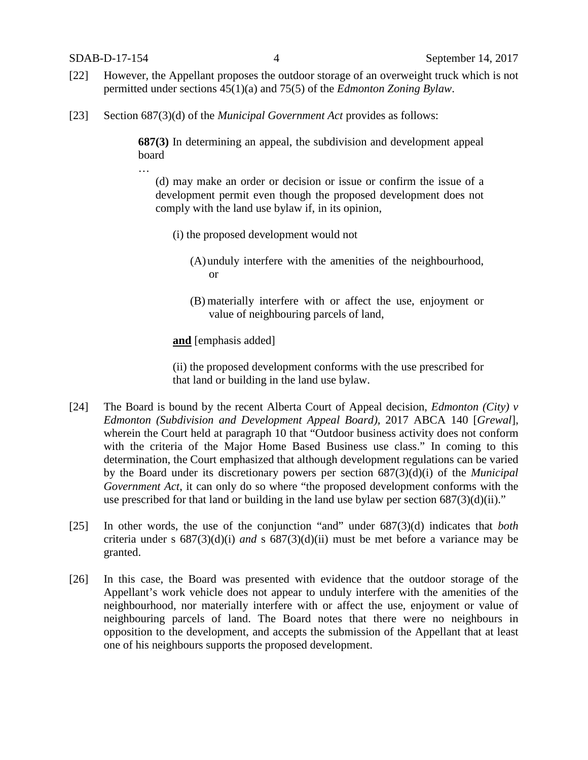…

- [22] However, the Appellant proposes the outdoor storage of an overweight truck which is not permitted under sections 45(1)(a) and 75(5) of the *Edmonton Zoning Bylaw*.
- [23] Section 687(3)(d) of the *Municipal Government Act* provides as follows:

**687(3)** In determining an appeal, the subdivision and development appeal board

(d) may make an order or decision or issue or confirm the issue of a development permit even though the proposed development does not comply with the land use bylaw if, in its opinion,

- (i) the proposed development would not
	- (A)unduly interfere with the amenities of the neighbourhood, or
	- (B) materially interfere with or affect the use, enjoyment or value of neighbouring parcels of land,

**and** [emphasis added]

(ii) the proposed development conforms with the use prescribed for that land or building in the land use bylaw.

- [24] The Board is bound by the recent Alberta Court of Appeal decision, *Edmonton (City) v Edmonton (Subdivision and Development Appeal Board),* 2017 ABCA 140 [*Grewal*], wherein the Court held at paragraph 10 that "Outdoor business activity does not conform with the criteria of the Major Home Based Business use class." In coming to this determination, the Court emphasized that although development regulations can be varied by the Board under its discretionary powers per section 687(3)(d)(i) of the *Municipal Government Act*, it can only do so where "the proposed development conforms with the use prescribed for that land or building in the land use bylaw per section  $687(3)(d)(ii)$ ."
- [25] In other words, the use of the conjunction "and" under 687(3)(d) indicates that *both* criteria under s 687(3)(d)(i) *and* s 687(3)(d)(ii) must be met before a variance may be granted.
- [26] In this case, the Board was presented with evidence that the outdoor storage of the Appellant's work vehicle does not appear to unduly interfere with the amenities of the neighbourhood, nor materially interfere with or affect the use, enjoyment or value of neighbouring parcels of land. The Board notes that there were no neighbours in opposition to the development, and accepts the submission of the Appellant that at least one of his neighbours supports the proposed development.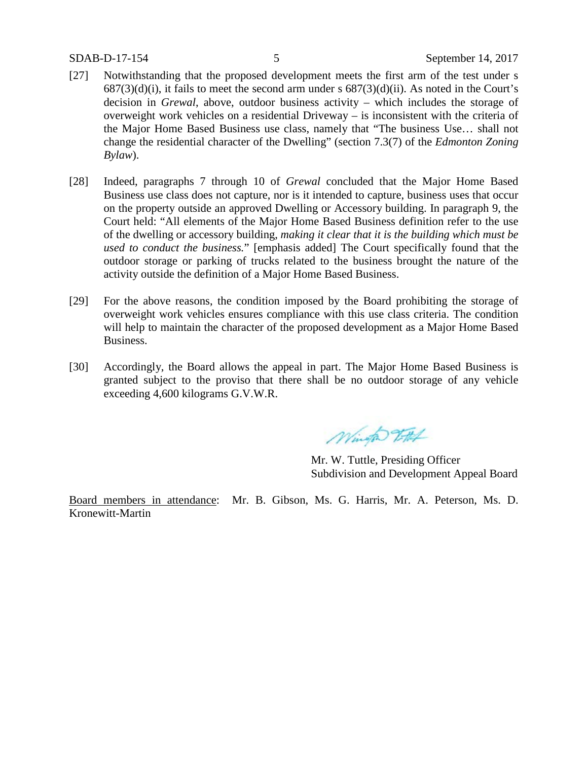- [27] Notwithstanding that the proposed development meets the first arm of the test under s  $687(3)(d)(i)$ , it fails to meet the second arm under s  $687(3)(d)(ii)$ . As noted in the Court's decision in *Grewal*, above, outdoor business activity – which includes the storage of overweight work vehicles on a residential Driveway – is inconsistent with the criteria of the Major Home Based Business use class, namely that "The business Use… shall not change the residential character of the Dwelling" (section 7.3(7) of the *Edmonton Zoning Bylaw*).
- [28] Indeed, paragraphs 7 through 10 of *Grewal* concluded that the Major Home Based Business use class does not capture, nor is it intended to capture, business uses that occur on the property outside an approved Dwelling or Accessory building. In paragraph 9, the Court held: "All elements of the Major Home Based Business definition refer to the use of the dwelling or accessory building, *making it clear that it is the building which must be used to conduct the business.*" [emphasis added] The Court specifically found that the outdoor storage or parking of trucks related to the business brought the nature of the activity outside the definition of a Major Home Based Business.
- [29] For the above reasons, the condition imposed by the Board prohibiting the storage of overweight work vehicles ensures compliance with this use class criteria. The condition will help to maintain the character of the proposed development as a Major Home Based Business.
- [30] Accordingly, the Board allows the appeal in part. The Major Home Based Business is granted subject to the proviso that there shall be no outdoor storage of any vehicle exceeding 4,600 kilograms G.V.W.R.

Winto 2FHA

Mr. W. Tuttle, Presiding Officer Subdivision and Development Appeal Board

Board members in attendance: Mr. B. Gibson, Ms. G. Harris, Mr. A. Peterson, Ms. D. Kronewitt-Martin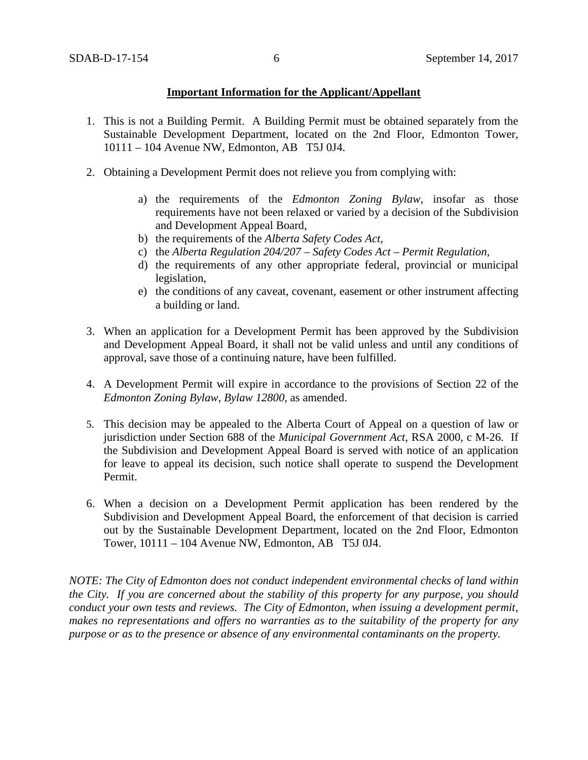## **Important Information for the Applicant/Appellant**

- 1. This is not a Building Permit. A Building Permit must be obtained separately from the Sustainable Development Department, located on the 2nd Floor, Edmonton Tower, 10111 – 104 Avenue NW, Edmonton, AB T5J 0J4.
- 2. Obtaining a Development Permit does not relieve you from complying with:
	- a) the requirements of the *Edmonton Zoning Bylaw*, insofar as those requirements have not been relaxed or varied by a decision of the Subdivision and Development Appeal Board,
	- b) the requirements of the *Alberta Safety Codes Act*,
	- c) the *Alberta Regulation 204/207 – Safety Codes Act – Permit Regulation*,
	- d) the requirements of any other appropriate federal, provincial or municipal legislation,
	- e) the conditions of any caveat, covenant, easement or other instrument affecting a building or land.
- 3. When an application for a Development Permit has been approved by the Subdivision and Development Appeal Board, it shall not be valid unless and until any conditions of approval, save those of a continuing nature, have been fulfilled.
- 4. A Development Permit will expire in accordance to the provisions of Section 22 of the *Edmonton Zoning Bylaw, Bylaw 12800*, as amended.
- 5. This decision may be appealed to the Alberta Court of Appeal on a question of law or jurisdiction under Section 688 of the *Municipal Government Act*, RSA 2000, c M-26. If the Subdivision and Development Appeal Board is served with notice of an application for leave to appeal its decision, such notice shall operate to suspend the Development Permit.
- 6. When a decision on a Development Permit application has been rendered by the Subdivision and Development Appeal Board, the enforcement of that decision is carried out by the Sustainable Development Department, located on the 2nd Floor, Edmonton Tower, 10111 – 104 Avenue NW, Edmonton, AB T5J 0J4.

*NOTE: The City of Edmonton does not conduct independent environmental checks of land within the City. If you are concerned about the stability of this property for any purpose, you should conduct your own tests and reviews. The City of Edmonton, when issuing a development permit, makes no representations and offers no warranties as to the suitability of the property for any purpose or as to the presence or absence of any environmental contaminants on the property.*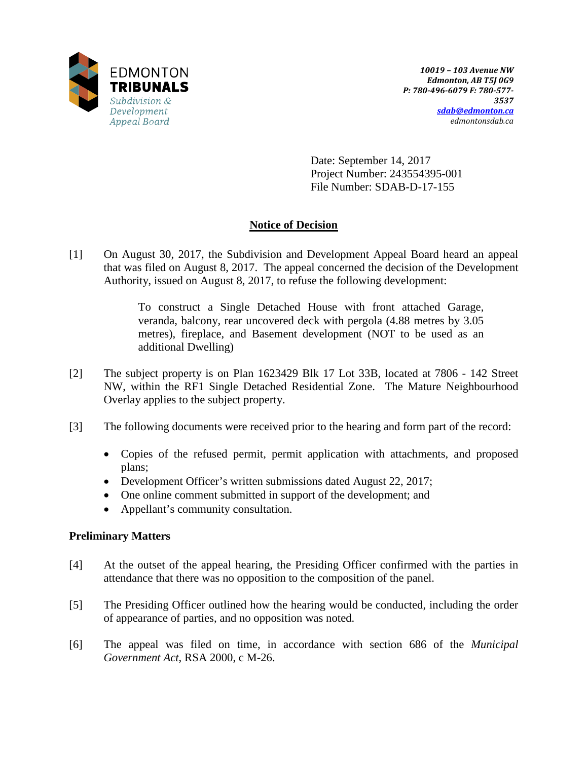

Date: September 14, 2017 Project Number: 243554395-001 File Number: SDAB-D-17-155

# **Notice of Decision**

[1] On August 30, 2017, the Subdivision and Development Appeal Board heard an appeal that was filed on August 8, 2017. The appeal concerned the decision of the Development Authority, issued on August 8, 2017, to refuse the following development:

> To construct a Single Detached House with front attached Garage, veranda, balcony, rear uncovered deck with pergola (4.88 metres by 3.05 metres), fireplace, and Basement development (NOT to be used as an additional Dwelling)

- [2] The subject property is on Plan 1623429 Blk 17 Lot 33B, located at 7806 142 Street NW, within the RF1 Single Detached Residential Zone. The Mature Neighbourhood Overlay applies to the subject property.
- [3] The following documents were received prior to the hearing and form part of the record:
	- Copies of the refused permit, permit application with attachments, and proposed plans;
	- Development Officer's written submissions dated August 22, 2017;
	- One online comment submitted in support of the development; and
	- Appellant's community consultation.

# **Preliminary Matters**

- [4] At the outset of the appeal hearing, the Presiding Officer confirmed with the parties in attendance that there was no opposition to the composition of the panel.
- [5] The Presiding Officer outlined how the hearing would be conducted, including the order of appearance of parties, and no opposition was noted.
- [6] The appeal was filed on time, in accordance with section 686 of the *Municipal Government Act*, RSA 2000, c M-26.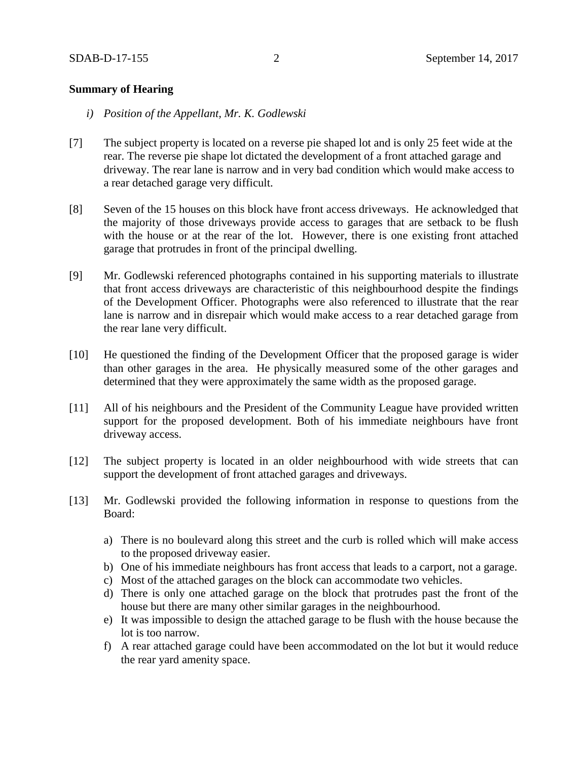## **Summary of Hearing**

- *i) Position of the Appellant, Mr. K. Godlewski*
- [7] The subject property is located on a reverse pie shaped lot and is only 25 feet wide at the rear. The reverse pie shape lot dictated the development of a front attached garage and driveway. The rear lane is narrow and in very bad condition which would make access to a rear detached garage very difficult.
- [8] Seven of the 15 houses on this block have front access driveways. He acknowledged that the majority of those driveways provide access to garages that are setback to be flush with the house or at the rear of the lot. However, there is one existing front attached garage that protrudes in front of the principal dwelling.
- [9] Mr. Godlewski referenced photographs contained in his supporting materials to illustrate that front access driveways are characteristic of this neighbourhood despite the findings of the Development Officer. Photographs were also referenced to illustrate that the rear lane is narrow and in disrepair which would make access to a rear detached garage from the rear lane very difficult.
- [10] He questioned the finding of the Development Officer that the proposed garage is wider than other garages in the area. He physically measured some of the other garages and determined that they were approximately the same width as the proposed garage.
- [11] All of his neighbours and the President of the Community League have provided written support for the proposed development. Both of his immediate neighbours have front driveway access.
- [12] The subject property is located in an older neighbourhood with wide streets that can support the development of front attached garages and driveways.
- [13] Mr. Godlewski provided the following information in response to questions from the Board:
	- a) There is no boulevard along this street and the curb is rolled which will make access to the proposed driveway easier.
	- b) One of his immediate neighbours has front access that leads to a carport, not a garage.
	- c) Most of the attached garages on the block can accommodate two vehicles.
	- d) There is only one attached garage on the block that protrudes past the front of the house but there are many other similar garages in the neighbourhood.
	- e) It was impossible to design the attached garage to be flush with the house because the lot is too narrow.
	- f) A rear attached garage could have been accommodated on the lot but it would reduce the rear yard amenity space.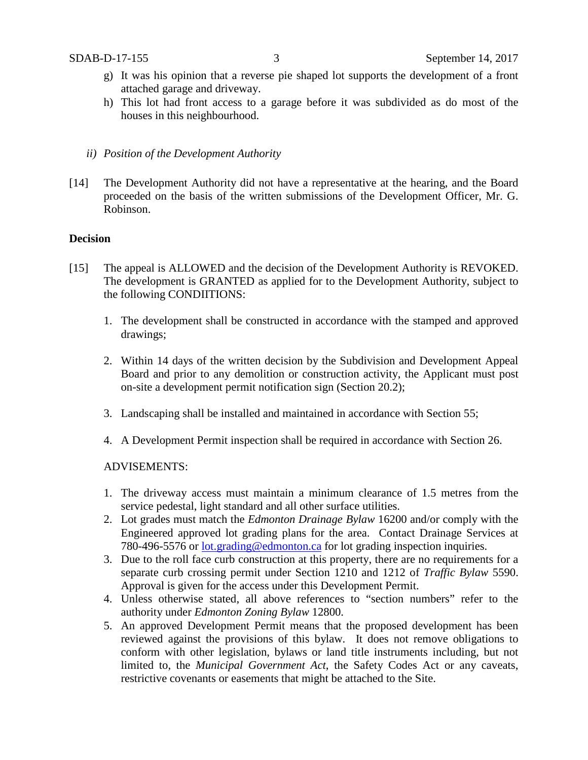- g) It was his opinion that a reverse pie shaped lot supports the development of a front attached garage and driveway.
- h) This lot had front access to a garage before it was subdivided as do most of the houses in this neighbourhood.
- *ii) Position of the Development Authority*
- [14] The Development Authority did not have a representative at the hearing, and the Board proceeded on the basis of the written submissions of the Development Officer, Mr. G. Robinson.

## **Decision**

- [15] The appeal is ALLOWED and the decision of the Development Authority is REVOKED. The development is GRANTED as applied for to the Development Authority, subject to the following CONDIITIONS:
	- 1. The development shall be constructed in accordance with the stamped and approved drawings;
	- 2. Within 14 days of the written decision by the Subdivision and Development Appeal Board and prior to any demolition or construction activity, the Applicant must post on-site a development permit notification sign (Section 20.2);
	- 3. Landscaping shall be installed and maintained in accordance with Section 55;
	- 4. A Development Permit inspection shall be required in accordance with Section 26.

## ADVISEMENTS:

- 1. The driveway access must maintain a minimum clearance of 1.5 metres from the service pedestal, light standard and all other surface utilities.
- 2. Lot grades must match the *Edmonton Drainage Bylaw* 16200 and/or comply with the Engineered approved lot grading plans for the area. Contact Drainage Services at 780-496-5576 or <u>lot.grading@edmonton.ca</u> for lot grading inspection inquiries.
- 3. Due to the roll face curb construction at this property, there are no requirements for a separate curb crossing permit under Section 1210 and 1212 of *Traffic Bylaw* 5590. Approval is given for the access under this Development Permit.
- 4. Unless otherwise stated, all above references to "section numbers" refer to the authority under *Edmonton Zoning Bylaw* 12800.
- 5. An approved Development Permit means that the proposed development has been reviewed against the provisions of this bylaw. It does not remove obligations to conform with other legislation, bylaws or land title instruments including, but not limited to, the *Municipal Government Act*, the Safety Codes Act or any caveats, restrictive covenants or easements that might be attached to the Site.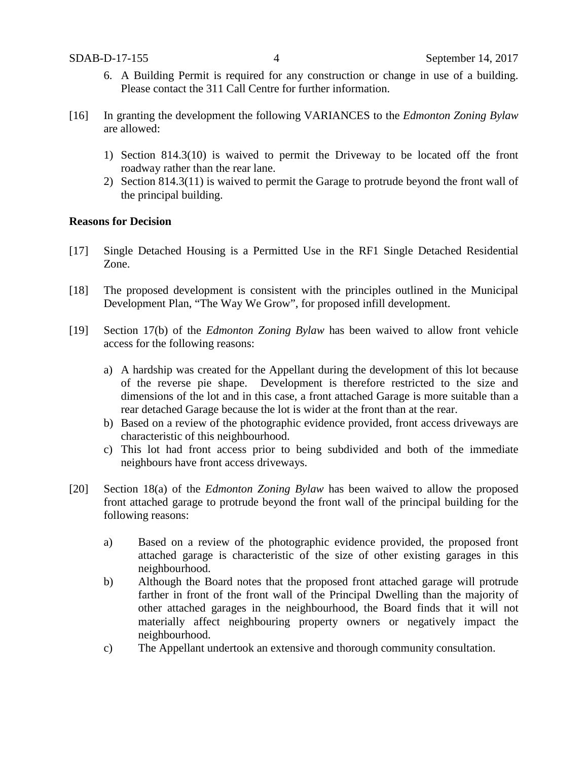- 6. A Building Permit is required for any construction or change in use of a building. Please contact the 311 Call Centre for further information.
- [16] In granting the development the following VARIANCES to the *Edmonton Zoning Bylaw* are allowed:
	- 1) Section 814.3(10) is waived to permit the Driveway to be located off the front roadway rather than the rear lane.
	- 2) Section 814.3(11) is waived to permit the Garage to protrude beyond the front wall of the principal building.

## **Reasons for Decision**

- [17] Single Detached Housing is a Permitted Use in the RF1 Single Detached Residential Zone.
- [18] The proposed development is consistent with the principles outlined in the Municipal Development Plan, "The Way We Grow", for proposed infill development.
- [19] Section 17(b) of the *Edmonton Zoning Bylaw* has been waived to allow front vehicle access for the following reasons:
	- a) A hardship was created for the Appellant during the development of this lot because of the reverse pie shape. Development is therefore restricted to the size and dimensions of the lot and in this case, a front attached Garage is more suitable than a rear detached Garage because the lot is wider at the front than at the rear.
	- b) Based on a review of the photographic evidence provided, front access driveways are characteristic of this neighbourhood.
	- c) This lot had front access prior to being subdivided and both of the immediate neighbours have front access driveways.
- [20] Section 18(a) of the *Edmonton Zoning Bylaw* has been waived to allow the proposed front attached garage to protrude beyond the front wall of the principal building for the following reasons:
	- a) Based on a review of the photographic evidence provided, the proposed front attached garage is characteristic of the size of other existing garages in this neighbourhood.
	- b) Although the Board notes that the proposed front attached garage will protrude farther in front of the front wall of the Principal Dwelling than the majority of other attached garages in the neighbourhood, the Board finds that it will not materially affect neighbouring property owners or negatively impact the neighbourhood.
	- c) The Appellant undertook an extensive and thorough community consultation.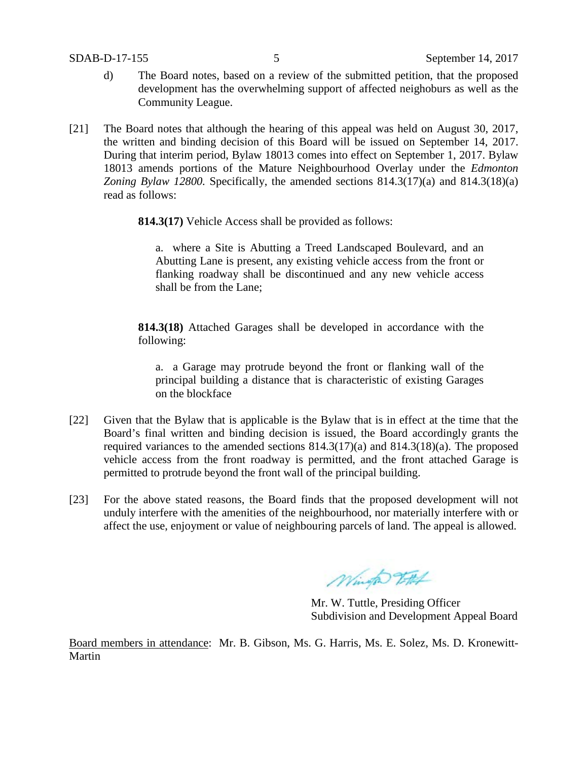- d) The Board notes, based on a review of the submitted petition, that the proposed development has the overwhelming support of affected neighoburs as well as the Community League.
- [21] The Board notes that although the hearing of this appeal was held on August 30, 2017, the written and binding decision of this Board will be issued on September 14, 2017. During that interim period, Bylaw 18013 comes into effect on September 1, 2017. Bylaw 18013 amends portions of the Mature Neighbourhood Overlay under the *Edmonton Zoning Bylaw 12800.* Specifically, the amended sections 814.3(17)(a) and 814.3(18)(a) read as follows:

**814.3(17)** Vehicle Access shall be provided as follows:

a. where a Site is Abutting a Treed Landscaped Boulevard, and an Abutting Lane is present, any existing vehicle access from the front or flanking roadway shall be discontinued and any new vehicle access shall be from the Lane;

**814.3(18)** Attached Garages shall be developed in accordance with the following:

a. a Garage may protrude beyond the front or flanking wall of the principal building a distance that is characteristic of existing Garages on the blockface

- [22] Given that the Bylaw that is applicable is the Bylaw that is in effect at the time that the Board's final written and binding decision is issued, the Board accordingly grants the required variances to the amended sections 814.3(17)(a) and 814.3(18)(a). The proposed vehicle access from the front roadway is permitted, and the front attached Garage is permitted to protrude beyond the front wall of the principal building.
- [23] For the above stated reasons, the Board finds that the proposed development will not unduly interfere with the amenities of the neighbourhood, nor materially interfere with or affect the use, enjoyment or value of neighbouring parcels of land. The appeal is allowed.

Winto 2Ft

Mr. W. Tuttle, Presiding Officer Subdivision and Development Appeal Board

Board members in attendance: Mr. B. Gibson, Ms. G. Harris, Ms. E. Solez, Ms. D. Kronewitt-Martin